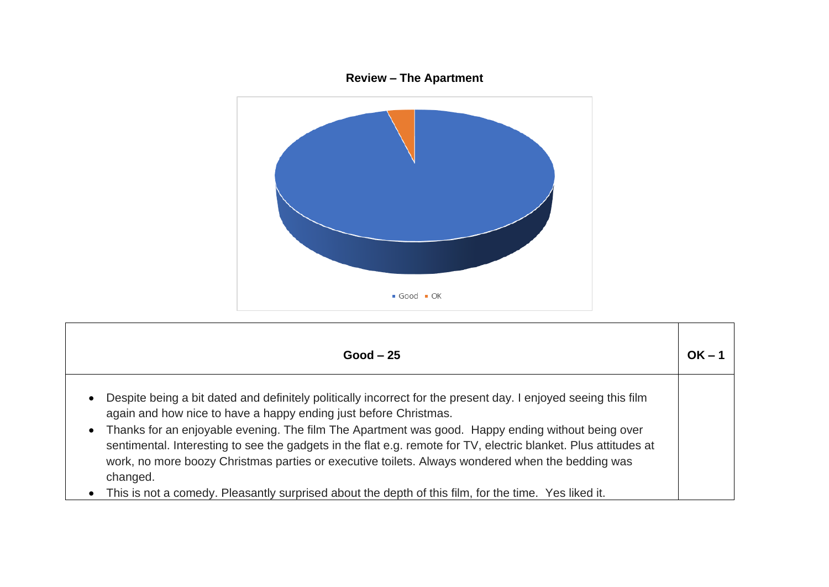

| $Good - 25$                                                                                                                                                                                                                                                                                                                                                                                                                                                                                                                                          | $OK - 1$ |
|------------------------------------------------------------------------------------------------------------------------------------------------------------------------------------------------------------------------------------------------------------------------------------------------------------------------------------------------------------------------------------------------------------------------------------------------------------------------------------------------------------------------------------------------------|----------|
| Despite being a bit dated and definitely politically incorrect for the present day. I enjoyed seeing this film<br>$\bullet$<br>again and how nice to have a happy ending just before Christmas.<br>Thanks for an enjoyable evening. The film The Apartment was good. Happy ending without being over<br>$\bullet$<br>sentimental. Interesting to see the gadgets in the flat e.g. remote for TV, electric blanket. Plus attitudes at<br>work, no more boozy Christmas parties or executive toilets. Always wondered when the bedding was<br>changed. |          |
| This is not a comedy. Pleasantly surprised about the depth of this film, for the time. Yes liked it.<br>$\bullet$                                                                                                                                                                                                                                                                                                                                                                                                                                    |          |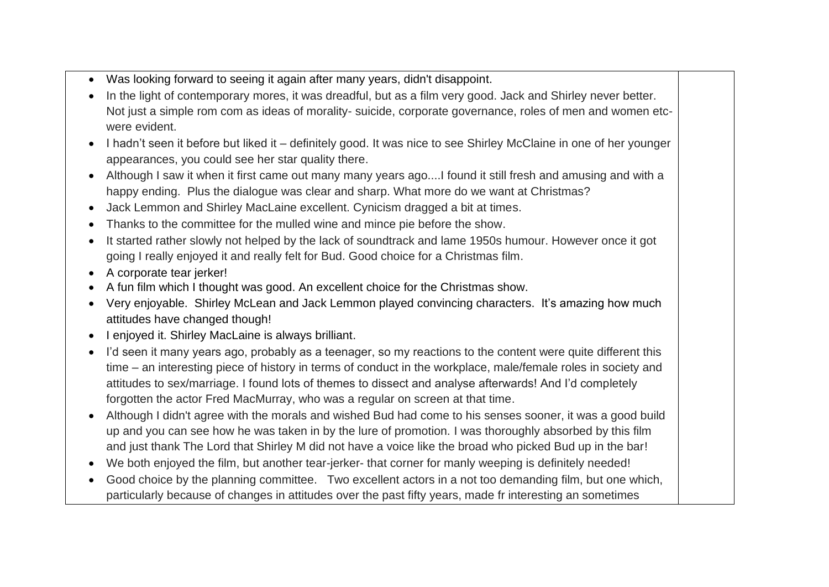- Was looking forward to seeing it again after many years, didn't disappoint.
- In the light of contemporary mores, it was dreadful, but as a film very good. Jack and Shirley never better. Not just a simple rom com as ideas of morality- suicide, corporate governance, roles of men and women etcwere evident
- I hadn't seen it before but liked it definitely good. It was nice to see Shirley McClaine in one of her younger appearances, you could see her star quality there.
- Although I saw it when it first came out many many years ago....I found it still fresh and amusing and with a happy ending. Plus the dialogue was clear and sharp. What more do we want at Christmas?
- Jack Lemmon and Shirley MacLaine excellent. Cynicism dragged a bit at times.
- Thanks to the committee for the mulled wine and mince pie before the show.
- It started rather slowly not helped by the lack of soundtrack and lame 1950s humour. However once it got going I really enjoyed it and really felt for Bud. Good choice for a Christmas film.
- A corporate tear jerker!
- A fun film which I thought was good. An excellent choice for the Christmas show.
- Very enjoyable. Shirley McLean and Jack Lemmon played convincing characters. It's amazing how much attitudes have changed though!
- I enjoyed it. Shirley MacLaine is always brilliant.
- I'd seen it many years ago, probably as a teenager, so my reactions to the content were quite different this time – an interesting piece of history in terms of conduct in the workplace, male/female roles in society and attitudes to sex/marriage. I found lots of themes to dissect and analyse afterwards! And I'd completely forgotten the actor Fred MacMurray, who was a regular on screen at that time.
- Although I didn't agree with the morals and wished Bud had come to his senses sooner, it was a good build up and you can see how he was taken in by the lure of promotion. I was thoroughly absorbed by this film and just thank The Lord that Shirley M did not have a voice like the broad who picked Bud up in the bar!
- We both enjoyed the film, but another tear-jerker- that corner for manly weeping is definitely needed!
- Good choice by the planning committee. Two excellent actors in a not too demanding film, but one which, particularly because of changes in attitudes over the past fifty years, made fr interesting an sometimes